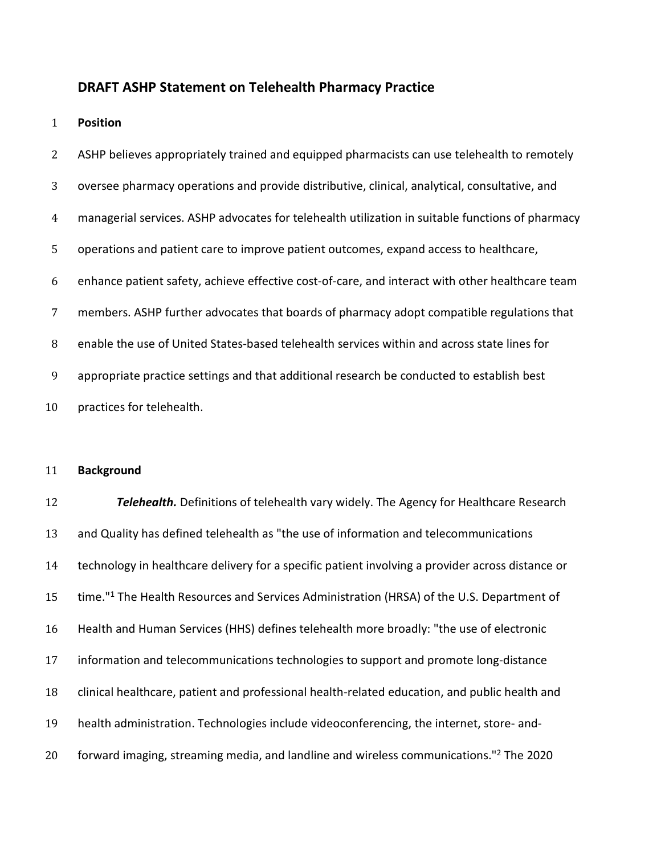### **DRAFT ASHP Statement on Telehealth Pharmacy Practice**

**Position**

ASHP believes appropriately trained and equipped pharmacists can use telehealth to remotely oversee pharmacy operations and provide distributive, clinical, analytical, consultative, and managerial services. ASHP advocates for telehealth utilization in suitable functions of pharmacy operations and patient care to improve patient outcomes, expand access to healthcare, enhance patient safety, achieve effective cost-of-care, and interact with other healthcare team members. ASHP further advocates that boards of pharmacy adopt compatible regulations that enable the use of United States-based telehealth services within and across state lines for appropriate practice settings and that additional research be conducted to establish best practices for telehealth.

### **Background**

 *Telehealth.* Definitions of telehealth vary widely. The Agency for Healthcare Research and Quality has defined telehealth as "the use of information and telecommunications technology in healthcare delivery for a specific patient involving a provider across distance or 15 time."<sup>1</sup> The Health Resources and Services Administration (HRSA) of the U.S. Department of Health and Human Services (HHS) defines telehealth more broadly: "the use of electronic information and telecommunications technologies to support and promote long-distance clinical healthcare, patient and professional health-related education, and public health and health administration. Technologies include videoconferencing, the internet, store- and-20 forward imaging, streaming media, and landline and wireless communications."<sup>2</sup> The 2020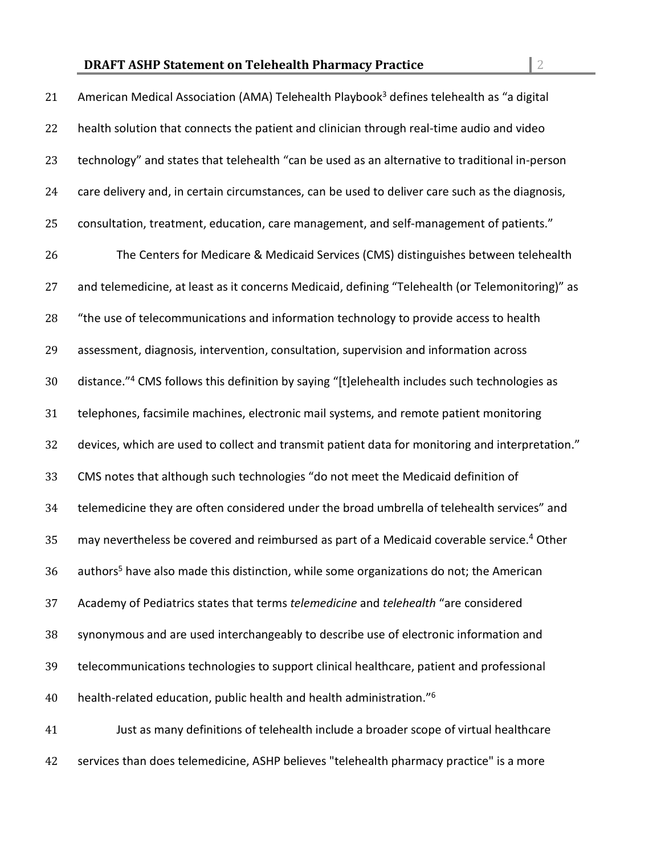| 21 | American Medical Association (AMA) Telehealth Playbook <sup>3</sup> defines telehealth as "a digital      |
|----|-----------------------------------------------------------------------------------------------------------|
| 22 | health solution that connects the patient and clinician through real-time audio and video                 |
| 23 | technology" and states that telehealth "can be used as an alternative to traditional in-person            |
| 24 | care delivery and, in certain circumstances, can be used to deliver care such as the diagnosis,           |
| 25 | consultation, treatment, education, care management, and self-management of patients."                    |
| 26 | The Centers for Medicare & Medicaid Services (CMS) distinguishes between telehealth                       |
| 27 | and telemedicine, at least as it concerns Medicaid, defining "Telehealth (or Telemonitoring)" as          |
| 28 | "the use of telecommunications and information technology to provide access to health                     |
| 29 | assessment, diagnosis, intervention, consultation, supervision and information across                     |
| 30 | distance." <sup>4</sup> CMS follows this definition by saying "[t]elehealth includes such technologies as |
| 31 | telephones, facsimile machines, electronic mail systems, and remote patient monitoring                    |
| 32 | devices, which are used to collect and transmit patient data for monitoring and interpretation."          |
| 33 | CMS notes that although such technologies "do not meet the Medicaid definition of                         |
| 34 | telemedicine they are often considered under the broad umbrella of telehealth services" and               |
| 35 | may nevertheless be covered and reimbursed as part of a Medicaid coverable service. <sup>4</sup> Other    |
| 36 | authors <sup>5</sup> have also made this distinction, while some organizations do not; the American       |
| 37 | Academy of Pediatrics states that terms telemedicine and telehealth "are considered                       |
| 38 | synonymous and are used interchangeably to describe use of electronic information and                     |
| 39 | telecommunications technologies to support clinical healthcare, patient and professional                  |
| 40 | health-related education, public health and health administration." <sup>6</sup>                          |
| 41 | Just as many definitions of telehealth include a broader scope of virtual healthcare                      |
| 42 | services than does telemedicine, ASHP believes "telehealth pharmacy practice" is a more                   |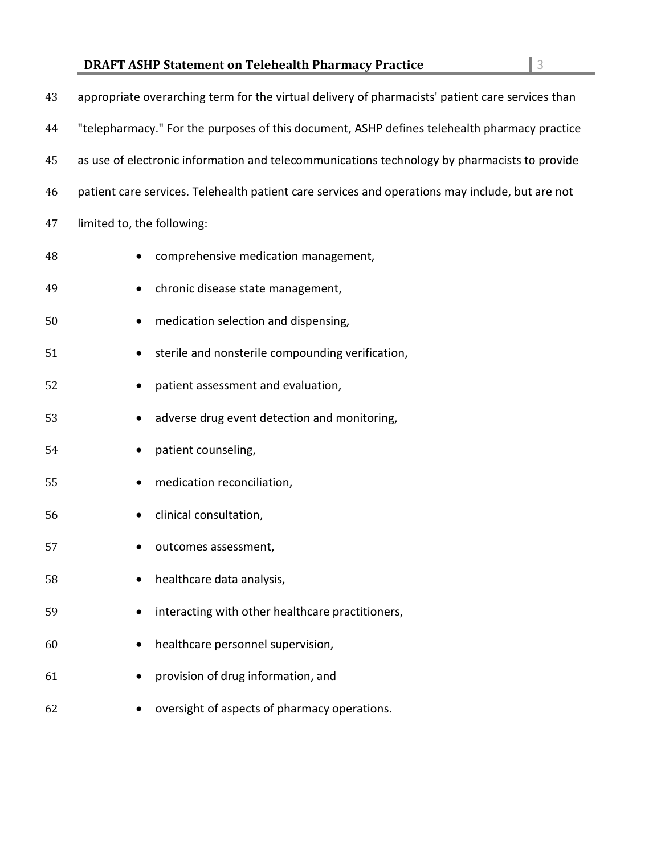| 43 | appropriate overarching term for the virtual delivery of pharmacists' patient care services than |
|----|--------------------------------------------------------------------------------------------------|
| 44 | "telepharmacy." For the purposes of this document, ASHP defines telehealth pharmacy practice     |
| 45 | as use of electronic information and telecommunications technology by pharmacists to provide     |
| 46 | patient care services. Telehealth patient care services and operations may include, but are not  |
| 47 | limited to, the following:                                                                       |
| 48 | comprehensive medication management,                                                             |
| 49 | chronic disease state management,                                                                |
| 50 | medication selection and dispensing,                                                             |
| 51 | sterile and nonsterile compounding verification,                                                 |
| 52 | patient assessment and evaluation,                                                               |
| 53 | adverse drug event detection and monitoring,                                                     |
| 54 | patient counseling,                                                                              |
| 55 | medication reconciliation,                                                                       |
| 56 | clinical consultation,                                                                           |
| 57 | outcomes assessment,                                                                             |
| 58 | healthcare data analysis,                                                                        |
| 59 | interacting with other healthcare practitioners,                                                 |
| 60 | healthcare personnel supervision,                                                                |
| 61 | provision of drug information, and                                                               |
| 62 | oversight of aspects of pharmacy operations.                                                     |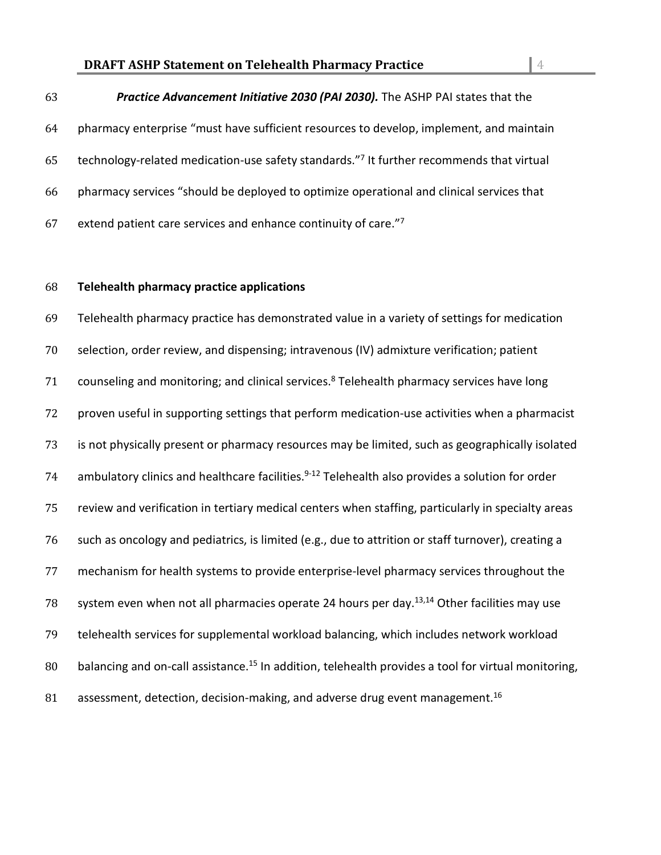### **DRAFT ASHP Statement on Telehealth Pharmacy Practice** 4

### *Practice Advancement Initiative 2030 (PAI 2030).* The ASHP PAI states that the

 pharmacy enterprise "must have sufficient resources to develop, implement, and maintain 65 technology-related medication-use safety standards."<sup>7</sup> It further recommends that virtual pharmacy services "should be deployed to optimize operational and clinical services that 67 extend patient care services and enhance continuity of care.

### **Telehealth pharmacy practice applications**

 Telehealth pharmacy practice has demonstrated value in a variety of settings for medication selection, order review, and dispensing; intravenous (IV) admixture verification; patient 71 counseling and monitoring; and clinical services. $8$  Telehealth pharmacy services have long proven useful in supporting settings that perform medication-use activities when a pharmacist is not physically present or pharmacy resources may be limited, such as geographically isolated 74 ambulatory clinics and healthcare facilities. $9-12$  Telehealth also provides a solution for order review and verification in tertiary medical centers when staffing, particularly in specialty areas such as oncology and pediatrics, is limited (e.g., due to attrition or staff turnover), creating a mechanism for health systems to provide enterprise-level pharmacy services throughout the 78 system even when not all pharmacies operate 24 hours per day.<sup>13,14</sup> Other facilities may use telehealth services for supplemental workload balancing, which includes network workload 80 balancing and on-call assistance.<sup>15</sup> In addition, telehealth provides a tool for virtual monitoring, 81 assessment, detection, decision-making, and adverse drug event management.<sup>16</sup>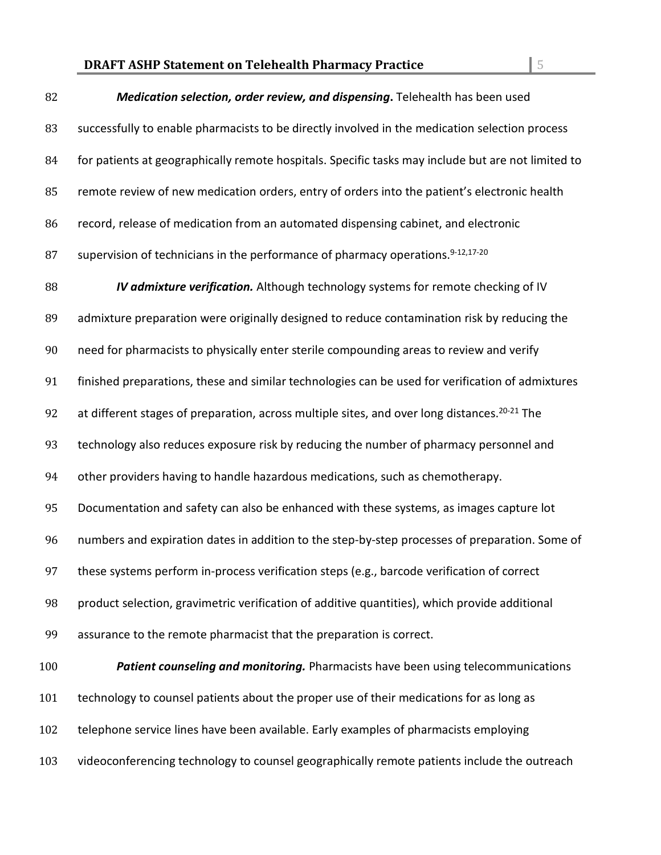### **DRAFT ASHP Statement on Telehealth Pharmacy Practice** 5

# *Medication selection, order review, and dispensing***.** Telehealth has been used successfully to enable pharmacists to be directly involved in the medication selection process 84 for patients at geographically remote hospitals. Specific tasks may include but are not limited to 85 remote review of new medication orders, entry of orders into the patient's electronic health record, release of medication from an automated dispensing cabinet, and electronic 87 supervision of technicians in the performance of pharmacy operations. $9-12,17-20$  *IV admixture verification.* Although technology systems for remote checking of IV admixture preparation were originally designed to reduce contamination risk by reducing the need for pharmacists to physically enter sterile compounding areas to review and verify finished preparations, these and similar technologies can be used for verification of admixtures 92 at different stages of preparation, across multiple sites, and over long distances.<sup>20-21</sup> The technology also reduces exposure risk by reducing the number of pharmacy personnel and other providers having to handle hazardous medications, such as chemotherapy. Documentation and safety can also be enhanced with these systems, as images capture lot numbers and expiration dates in addition to the step-by-step processes of preparation. Some of these systems perform in-process verification steps (e.g., barcode verification of correct product selection, gravimetric verification of additive quantities), which provide additional assurance to the remote pharmacist that the preparation is correct. *Patient counseling and monitoring.* Pharmacists have been using telecommunications technology to counsel patients about the proper use of their medications for as long as telephone service lines have been available. Early examples of pharmacists employing videoconferencing technology to counsel geographically remote patients include the outreach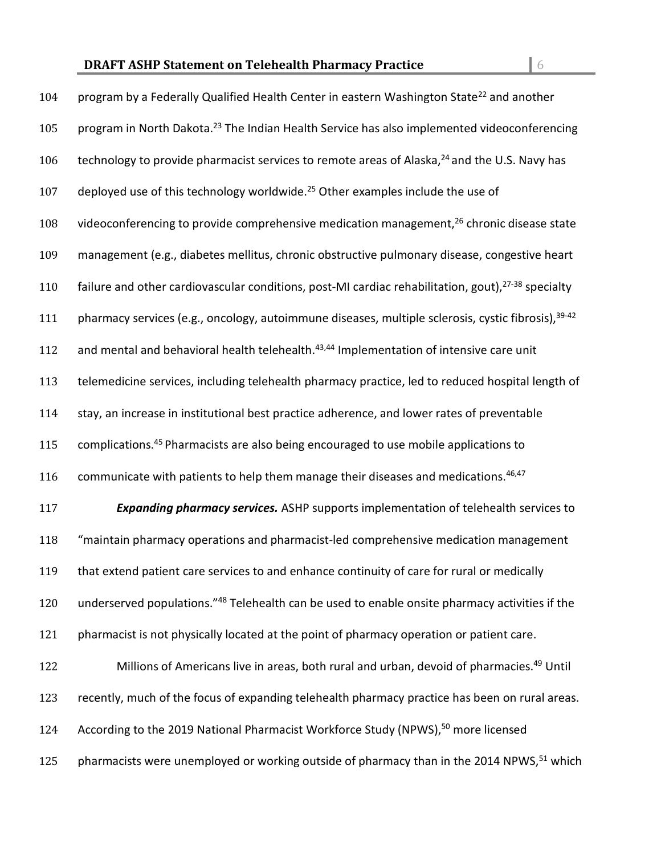| 104 | program by a Federally Qualified Health Center in eastern Washington State <sup>22</sup> and another           |
|-----|----------------------------------------------------------------------------------------------------------------|
| 105 | program in North Dakota. <sup>23</sup> The Indian Health Service has also implemented videoconferencing        |
| 106 | technology to provide pharmacist services to remote areas of Alaska, <sup>24</sup> and the U.S. Navy has       |
| 107 | deployed use of this technology worldwide. <sup>25</sup> Other examples include the use of                     |
| 108 | videoconferencing to provide comprehensive medication management, <sup>26</sup> chronic disease state          |
| 109 | management (e.g., diabetes mellitus, chronic obstructive pulmonary disease, congestive heart                   |
| 110 | failure and other cardiovascular conditions, post-MI cardiac rehabilitation, gout), <sup>27-38</sup> specialty |
| 111 | pharmacy services (e.g., oncology, autoimmune diseases, multiple sclerosis, cystic fibrosis), 39-42            |
| 112 | and mental and behavioral health telehealth. <sup>43,44</sup> Implementation of intensive care unit            |
| 113 | telemedicine services, including telehealth pharmacy practice, led to reduced hospital length of               |
| 114 | stay, an increase in institutional best practice adherence, and lower rates of preventable                     |
| 115 | complications. <sup>45</sup> Pharmacists are also being encouraged to use mobile applications to               |
| 116 | communicate with patients to help them manage their diseases and medications. <sup>46,47</sup>                 |
| 117 | <b>Expanding pharmacy services.</b> ASHP supports implementation of telehealth services to                     |
| 118 | "maintain pharmacy operations and pharmacist-led comprehensive medication management                           |
| 119 | that extend patient care services to and enhance continuity of care for rural or medically                     |
| 120 | underserved populations."48 Telehealth can be used to enable onsite pharmacy activities if the                 |
| 121 | pharmacist is not physically located at the point of pharmacy operation or patient care.                       |
| 122 | Millions of Americans live in areas, both rural and urban, devoid of pharmacies. <sup>49</sup> Until           |
| 123 | recently, much of the focus of expanding telehealth pharmacy practice has been on rural areas.                 |
|     |                                                                                                                |

124 According to the 2019 National Pharmacist Workforce Study (NPWS),<sup>50</sup> more licensed

125 pharmacists were unemployed or working outside of pharmacy than in the 2014 NPWS, <sup>51</sup> which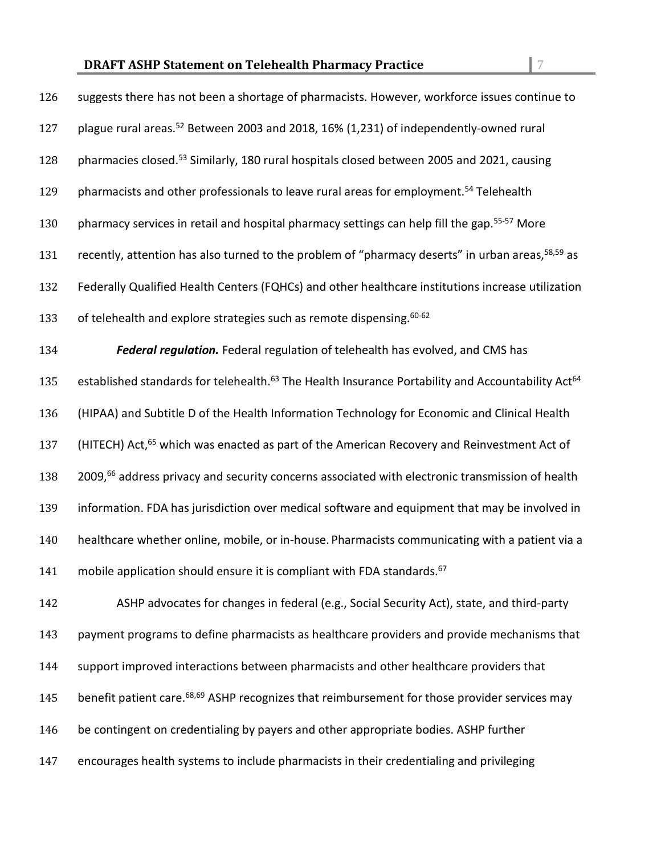| 126 | suggests there has not been a shortage of pharmacists. However, workforce issues continue to                              |
|-----|---------------------------------------------------------------------------------------------------------------------------|
| 127 | plague rural areas. <sup>52</sup> Between 2003 and 2018, 16% (1,231) of independently-owned rural                         |
| 128 | pharmacies closed. <sup>53</sup> Similarly, 180 rural hospitals closed between 2005 and 2021, causing                     |
| 129 | pharmacists and other professionals to leave rural areas for employment. <sup>54</sup> Telehealth                         |
| 130 | pharmacy services in retail and hospital pharmacy settings can help fill the gap. <sup>55-57</sup> More                   |
| 131 | recently, attention has also turned to the problem of "pharmacy deserts" in urban areas, <sup>58,59</sup> as              |
| 132 | Federally Qualified Health Centers (FQHCs) and other healthcare institutions increase utilization                         |
| 133 | of telehealth and explore strategies such as remote dispensing. <sup>60-62</sup>                                          |
| 134 | Federal regulation. Federal regulation of telehealth has evolved, and CMS has                                             |
| 135 | established standards for telehealth. <sup>63</sup> The Health Insurance Portability and Accountability Act <sup>64</sup> |
| 136 | (HIPAA) and Subtitle D of the Health Information Technology for Economic and Clinical Health                              |
| 137 | (HITECH) Act, <sup>65</sup> which was enacted as part of the American Recovery and Reinvestment Act of                    |
| 138 | 2009, <sup>66</sup> address privacy and security concerns associated with electronic transmission of health               |
| 139 | information. FDA has jurisdiction over medical software and equipment that may be involved in                             |
| 140 | healthcare whether online, mobile, or in-house. Pharmacists communicating with a patient via a                            |
| 141 | mobile application should ensure it is compliant with FDA standards. <sup>67</sup>                                        |
| 142 | ASHP advocates for changes in federal (e.g., Social Security Act), state, and third-party                                 |
| 143 | payment programs to define pharmacists as healthcare providers and provide mechanisms that                                |
| 144 | support improved interactions between pharmacists and other healthcare providers that                                     |

- 145 benefit patient care.<sup>68,69</sup> ASHP recognizes that reimbursement for those provider services may
- be contingent on credentialing by payers and other appropriate bodies. ASHP further
- encourages health systems to include pharmacists in their credentialing and privileging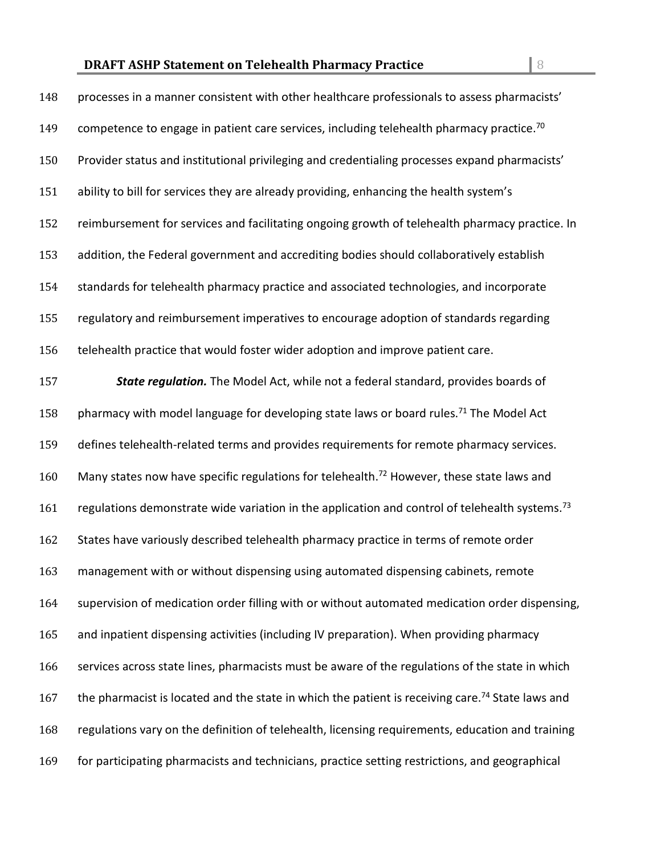| 148 | processes in a manner consistent with other healthcare professionals to assess pharmacists'                  |
|-----|--------------------------------------------------------------------------------------------------------------|
| 149 | competence to engage in patient care services, including telehealth pharmacy practice. <sup>70</sup>         |
| 150 | Provider status and institutional privileging and credentialing processes expand pharmacists'                |
| 151 | ability to bill for services they are already providing, enhancing the health system's                       |
| 152 | reimbursement for services and facilitating ongoing growth of telehealth pharmacy practice. In               |
| 153 | addition, the Federal government and accrediting bodies should collaboratively establish                     |
| 154 | standards for telehealth pharmacy practice and associated technologies, and incorporate                      |
| 155 | regulatory and reimbursement imperatives to encourage adoption of standards regarding                        |
| 156 | telehealth practice that would foster wider adoption and improve patient care.                               |
| 157 | State regulation. The Model Act, while not a federal standard, provides boards of                            |
| 158 | pharmacy with model language for developing state laws or board rules. <sup>71</sup> The Model Act           |
| 159 | defines telehealth-related terms and provides requirements for remote pharmacy services.                     |
| 160 | Many states now have specific regulations for telehealth. <sup>72</sup> However, these state laws and        |
| 161 | regulations demonstrate wide variation in the application and control of telehealth systems. <sup>73</sup>   |
| 162 | States have variously described telehealth pharmacy practice in terms of remote order                        |
| 163 | management with or without dispensing using automated dispensing cabinets, remote                            |
| 164 | supervision of medication order filling with or without automated medication order dispensing,               |
| 165 | and inpatient dispensing activities (including IV preparation). When providing pharmacy                      |
| 166 | services across state lines, pharmacists must be aware of the regulations of the state in which              |
| 167 | the pharmacist is located and the state in which the patient is receiving care. <sup>74</sup> State laws and |
| 168 | regulations vary on the definition of telehealth, licensing requirements, education and training             |
| 169 | for participating pharmacists and technicians, practice setting restrictions, and geographical               |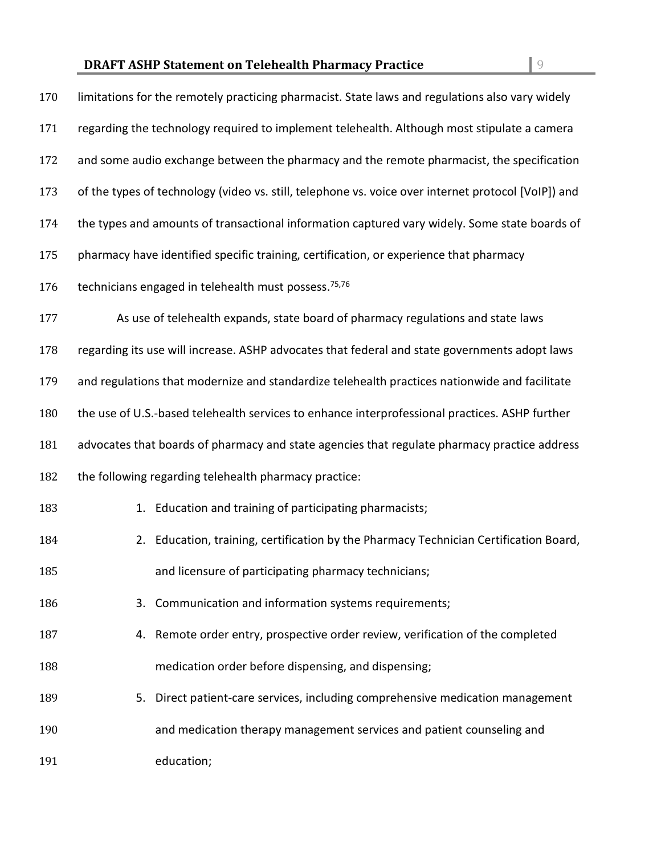| 170 | limitations for the remotely practicing pharmacist. State laws and regulations also vary widely     |
|-----|-----------------------------------------------------------------------------------------------------|
| 171 | regarding the technology required to implement telehealth. Although most stipulate a camera         |
| 172 | and some audio exchange between the pharmacy and the remote pharmacist, the specification           |
| 173 | of the types of technology (video vs. still, telephone vs. voice over internet protocol [VoIP]) and |
| 174 | the types and amounts of transactional information captured vary widely. Some state boards of       |
| 175 | pharmacy have identified specific training, certification, or experience that pharmacy              |
| 176 | technicians engaged in telehealth must possess. <sup>75,76</sup>                                    |
| 177 | As use of telehealth expands, state board of pharmacy regulations and state laws                    |
| 178 | regarding its use will increase. ASHP advocates that federal and state governments adopt laws       |
| 179 | and regulations that modernize and standardize telehealth practices nationwide and facilitate       |
| 180 | the use of U.S.-based telehealth services to enhance interprofessional practices. ASHP further      |
| 181 | advocates that boards of pharmacy and state agencies that regulate pharmacy practice address        |
| 182 | the following regarding telehealth pharmacy practice:                                               |
| 183 | 1. Education and training of participating pharmacists;                                             |
| 184 | 2. Education, training, certification by the Pharmacy Technician Certification Board,               |
| 185 | and licensure of participating pharmacy technicians;                                                |
| 186 | 3. Communication and information systems requirements;                                              |
| 187 | 4. Remote order entry, prospective order review, verification of the completed                      |
| 188 | medication order before dispensing, and dispensing;                                                 |
| 189 | Direct patient-care services, including comprehensive medication management<br>5.                   |
| 190 | and medication therapy management services and patient counseling and                               |
| 191 | education;                                                                                          |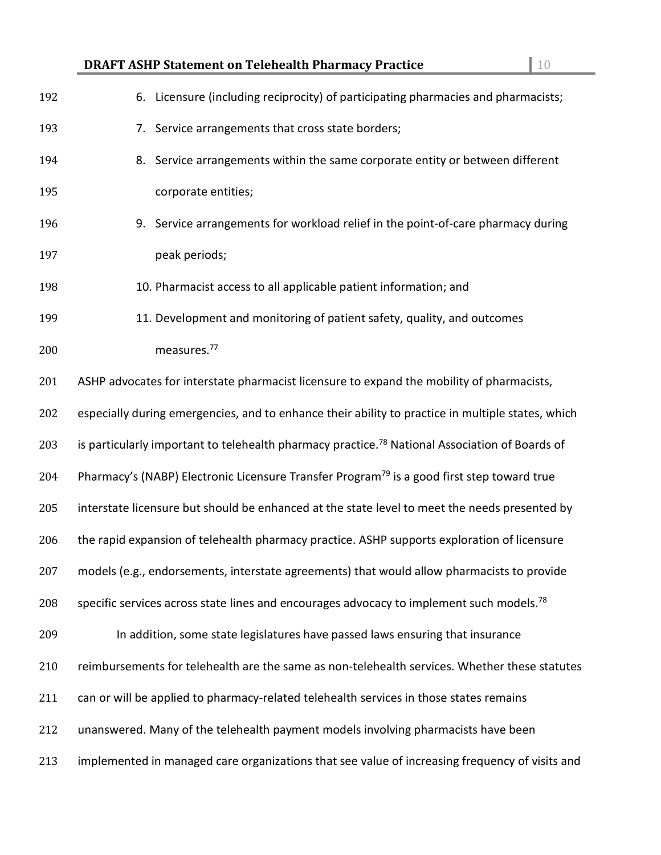| <b>DRAFT ASHP Statement on Telehealth Pharmacy Practice</b> | $\vert$ 10 |
|-------------------------------------------------------------|------------|
|                                                             |            |

| 192 | 6. Licensure (including reciprocity) of participating pharmacies and pharmacists;                          |
|-----|------------------------------------------------------------------------------------------------------------|
| 193 | 7. Service arrangements that cross state borders;                                                          |
| 194 | 8. Service arrangements within the same corporate entity or between different                              |
| 195 | corporate entities;                                                                                        |
| 196 | 9. Service arrangements for workload relief in the point-of-care pharmacy during                           |
| 197 | peak periods;                                                                                              |
| 198 | 10. Pharmacist access to all applicable patient information; and                                           |
| 199 | 11. Development and monitoring of patient safety, quality, and outcomes                                    |
| 200 | measures. <sup>77</sup>                                                                                    |
| 201 | ASHP advocates for interstate pharmacist licensure to expand the mobility of pharmacists,                  |
| 202 | especially during emergencies, and to enhance their ability to practice in multiple states, which          |
| 203 | is particularly important to telehealth pharmacy practice. <sup>78</sup> National Association of Boards of |
| 204 | Pharmacy's (NABP) Electronic Licensure Transfer Program <sup>79</sup> is a good first step toward true     |
| 205 | interstate licensure but should be enhanced at the state level to meet the needs presented by              |
| 206 | the rapid expansion of telehealth pharmacy practice. ASHP supports exploration of licensure                |
| 207 | models (e.g., endorsements, interstate agreements) that would allow pharmacists to provide                 |
| 208 | specific services across state lines and encourages advocacy to implement such models. <sup>78</sup>       |
| 209 | In addition, some state legislatures have passed laws ensuring that insurance                              |
| 210 | reimbursements for telehealth are the same as non-telehealth services. Whether these statutes              |
| 211 | can or will be applied to pharmacy-related telehealth services in those states remains                     |
| 212 | unanswered. Many of the telehealth payment models involving pharmacists have been                          |
| 213 | implemented in managed care organizations that see value of increasing frequency of visits and             |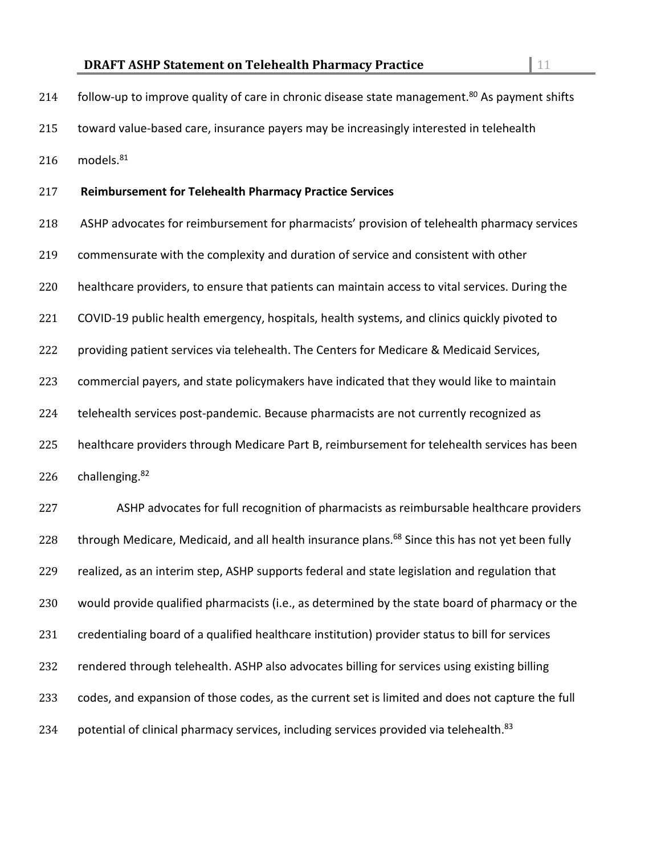| 214 | follow-up to improve quality of care in chronic disease state management. <sup>80</sup> As payment shifts   |
|-----|-------------------------------------------------------------------------------------------------------------|
| 215 | toward value-based care, insurance payers may be increasingly interested in telehealth                      |
| 216 | models. <sup>81</sup>                                                                                       |
| 217 | <b>Reimbursement for Telehealth Pharmacy Practice Services</b>                                              |
| 218 | ASHP advocates for reimbursement for pharmacists' provision of telehealth pharmacy services                 |
| 219 | commensurate with the complexity and duration of service and consistent with other                          |
| 220 | healthcare providers, to ensure that patients can maintain access to vital services. During the             |
| 221 | COVID-19 public health emergency, hospitals, health systems, and clinics quickly pivoted to                 |
| 222 | providing patient services via telehealth. The Centers for Medicare & Medicaid Services,                    |
| 223 | commercial payers, and state policymakers have indicated that they would like to maintain                   |
| 224 | telehealth services post-pandemic. Because pharmacists are not currently recognized as                      |
| 225 | healthcare providers through Medicare Part B, reimbursement for telehealth services has been                |
| 226 | challenging. <sup>82</sup>                                                                                  |
| 227 | ASHP advocates for full recognition of pharmacists as reimbursable healthcare providers                     |
| 228 | through Medicare, Medicaid, and all health insurance plans. <sup>68</sup> Since this has not yet been fully |
| 229 | realized, as an interim step, ASHP supports federal and state legislation and regulation that               |
| 230 | would provide qualified pharmacists (i.e., as determined by the state board of pharmacy or the              |
| 231 | credentialing board of a qualified healthcare institution) provider status to bill for services             |
| 232 | rendered through telehealth. ASHP also advocates billing for services using existing billing                |
| 233 | codes, and expansion of those codes, as the current set is limited and does not capture the full            |
|     |                                                                                                             |

234 potential of clinical pharmacy services, including services provided via telehealth.<sup>83</sup>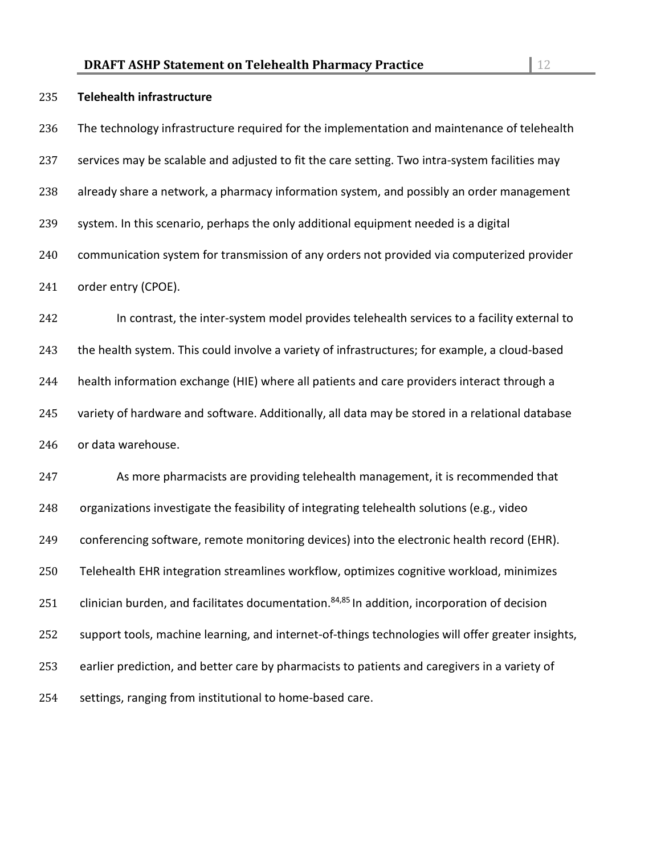| 235 | <b>Telehealth infrastructure</b>                                                                         |
|-----|----------------------------------------------------------------------------------------------------------|
| 236 | The technology infrastructure required for the implementation and maintenance of telehealth              |
| 237 | services may be scalable and adjusted to fit the care setting. Two intra-system facilities may           |
| 238 | already share a network, a pharmacy information system, and possibly an order management                 |
| 239 | system. In this scenario, perhaps the only additional equipment needed is a digital                      |
| 240 | communication system for transmission of any orders not provided via computerized provider               |
| 241 | order entry (CPOE).                                                                                      |
| 242 | In contrast, the inter-system model provides telehealth services to a facility external to               |
| 243 | the health system. This could involve a variety of infrastructures; for example, a cloud-based           |
| 244 | health information exchange (HIE) where all patients and care providers interact through a               |
| 245 | variety of hardware and software. Additionally, all data may be stored in a relational database          |
| 246 | or data warehouse.                                                                                       |
| 247 | As more pharmacists are providing telehealth management, it is recommended that                          |
| 248 | organizations investigate the feasibility of integrating telehealth solutions (e.g., video               |
| 249 | conferencing software, remote monitoring devices) into the electronic health record (EHR).               |
| 250 | Telehealth EHR integration streamlines workflow, optimizes cognitive workload, minimizes                 |
| 251 | clinician burden, and facilitates documentation. <sup>84,85</sup> In addition, incorporation of decision |
| 252 | support tools, machine learning, and internet-of-things technologies will offer greater insights,        |
| 253 | earlier prediction, and better care by pharmacists to patients and caregivers in a variety of            |
| 254 | settings, ranging from institutional to home-based care.                                                 |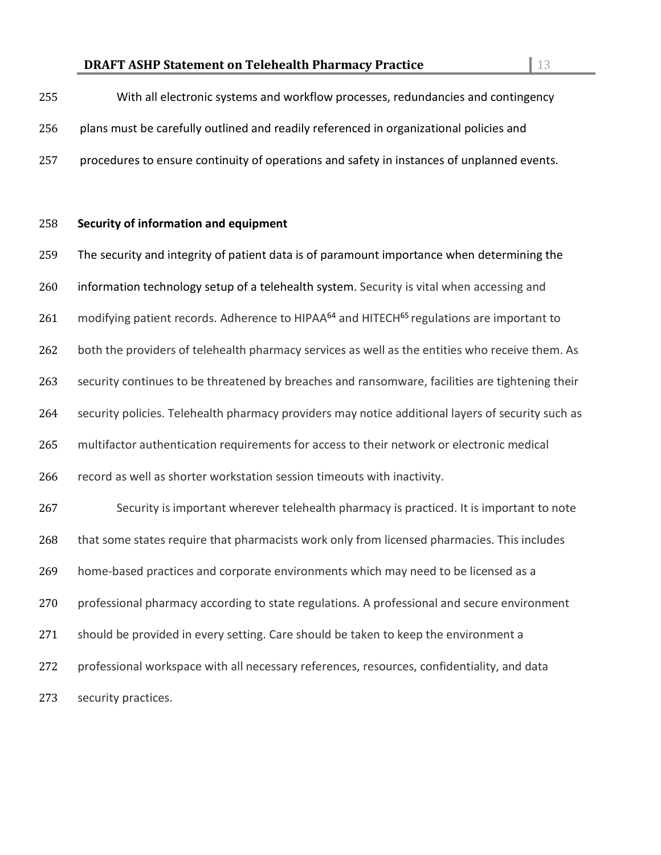| 255 | With all electronic systems and workflow processes, redundancies and contingency           |
|-----|--------------------------------------------------------------------------------------------|
| 256 | plans must be carefully outlined and readily referenced in organizational policies and     |
| 257 | procedures to ensure continuity of operations and safety in instances of unplanned events. |

### **Security of information and equipment**

 The security and integrity of patient data is of paramount importance when determining the 260 information technology setup of a telehealth system. Security is vital when accessing and 261 modifying patient records. Adherence to HIPAA<sup>64</sup> and HITECH<sup>65</sup> regulations are important to 262 both the providers of telehealth pharmacy services as well as the entities who receive them. As security continues to be threatened by breaches and ransomware, facilities are tightening their security policies. Telehealth pharmacy providers may notice additional layers of security such as multifactor authentication requirements for access to their network or electronic medical record as well as shorter workstation session timeouts with inactivity. Security is important wherever telehealth pharmacy is practiced. It is important to note 268 that some states require that pharmacists work only from licensed pharmacies. This includes home-based practices and corporate environments which may need to be licensed as a professional pharmacy according to state regulations. A professional and secure environment should be provided in every setting. Care should be taken to keep the environment a professional workspace with all necessary references, resources, confidentiality, and data security practices.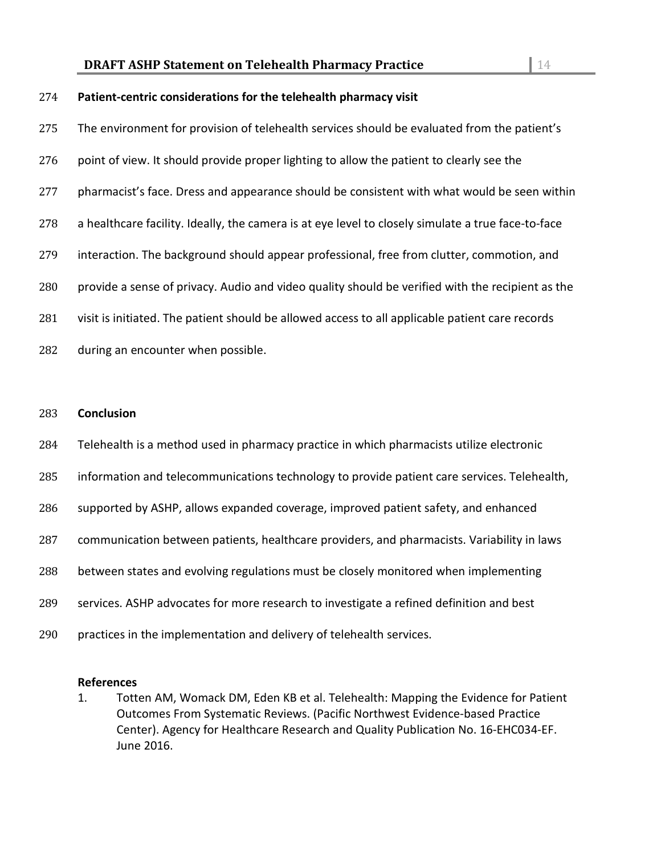### **Patient-centric considerations for the telehealth pharmacy visit**

 The environment for provision of telehealth services should be evaluated from the patient's 276 point of view. It should provide proper lighting to allow the patient to clearly see the 277 pharmacist's face. Dress and appearance should be consistent with what would be seen within a healthcare facility. Ideally, the camera is at eye level to closely simulate a true face-to-face 279 interaction. The background should appear professional, free from clutter, commotion, and provide a sense of privacy. Audio and video quality should be verified with the recipient as the visit is initiated. The patient should be allowed access to all applicable patient care records during an encounter when possible.

- **Conclusion**
- Telehealth is a method used in pharmacy practice in which pharmacists utilize electronic
- information and telecommunications technology to provide patient care services. Telehealth,
- supported by ASHP, allows expanded coverage, improved patient safety, and enhanced
- communication between patients, healthcare providers, and pharmacists. Variability in laws
- between states and evolving regulations must be closely monitored when implementing
- services. ASHP advocates for more research to investigate a refined definition and best
- practices in the implementation and delivery of telehealth services.

#### **References**

1. Totten AM, Womack DM, Eden KB et al. Telehealth: Mapping the Evidence for Patient Outcomes From Systematic Reviews. (Pacific Northwest Evidence-based Practice Center). Agency for Healthcare Research and Quality Publication No. 16-EHC034-EF. June 2016.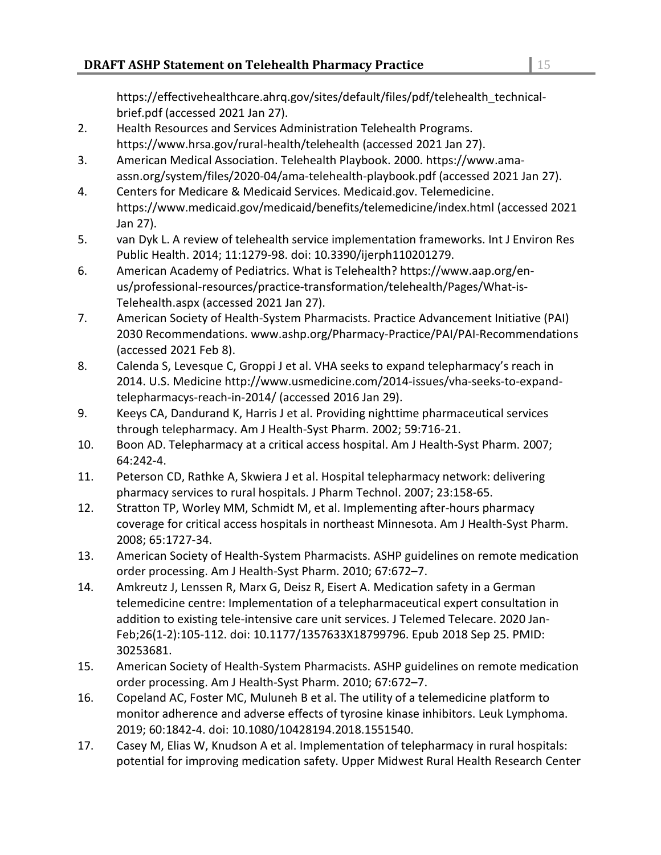https://effectivehealthcare.ahrq.gov/sites/default/files/pdf/telehealth\_technicalbrief.pdf (accessed 2021 Jan 27).

- 2. Health Resources and Services Administration Telehealth Programs. https://www.hrsa.gov/rural-health/telehealth (accessed 2021 Jan 27).
- 3. American Medical Association. Telehealth Playbook. 2000. https://www.amaassn.org/system/files/2020-04/ama-telehealth-playbook.pdf (accessed 2021 Jan 27).
- 4. Centers for Medicare & Medicaid Services. Medicaid.gov. Telemedicine. https://www.medicaid.gov/medicaid/benefits/telemedicine/index.html (accessed 2021 Jan 27).
- 5. van Dyk L. A review of telehealth service implementation frameworks. Int J Environ Res Public Health. 2014; 11:1279-98. doi: 10.3390/ijerph110201279.
- 6. American Academy of Pediatrics. What is Telehealth? https://www.aap.org/enus/professional-resources/practice-transformation/telehealth/Pages/What-is-Telehealth.aspx (accessed 2021 Jan 27).
- 7. American Society of Health-System Pharmacists. Practice Advancement Initiative (PAI) 2030 Recommendations. www.ashp.org/Pharmacy-Practice/PAI/PAI-Recommendations (accessed 2021 Feb 8).
- 8. Calenda S, Levesque C, Groppi J et al. VHA seeks to expand telepharmacy's reach in 2014. U.S. Medicine http://www.usmedicine.com/2014-issues/vha-seeks-to-expandtelepharmacys-reach-in-2014/ (accessed 2016 Jan 29).
- 9. Keeys CA, Dandurand K, Harris J et al. Providing nighttime pharmaceutical services through telepharmacy. Am J Health-Syst Pharm. 2002; 59:716-21.
- 10. Boon AD. Telepharmacy at a critical access hospital. Am J Health-Syst Pharm. 2007; 64:242-4.
- 11. Peterson CD, Rathke A, Skwiera J et al. Hospital telepharmacy network: delivering pharmacy services to rural hospitals. J Pharm Technol. 2007; 23:158-65.
- 12. Stratton TP, Worley MM, Schmidt M, et al. Implementing after-hours pharmacy coverage for critical access hospitals in northeast Minnesota. Am J Health-Syst Pharm. 2008; 65:1727-34.
- 13. American Society of Health-System Pharmacists. ASHP guidelines on remote medication order processing. Am J Health-Syst Pharm. 2010; 67:672–7.
- 14. Amkreutz J, Lenssen R, Marx G, Deisz R, Eisert A. Medication safety in a German telemedicine centre: Implementation of a telepharmaceutical expert consultation in addition to existing tele-intensive care unit services. J Telemed Telecare. 2020 Jan-Feb;26(1-2):105-112. doi: 10.1177/1357633X18799796. Epub 2018 Sep 25. PMID: 30253681.
- 15. American Society of Health-System Pharmacists. ASHP guidelines on remote medication order processing. Am J Health-Syst Pharm. 2010; 67:672–7.
- 16. Copeland AC, Foster MC, Muluneh B et al. The utility of a telemedicine platform to monitor adherence and adverse effects of tyrosine kinase inhibitors. Leuk Lymphoma. 2019; 60:1842-4. doi: 10.1080/10428194.2018.1551540.
- 17. Casey M, Elias W, Knudson A et al. Implementation of telepharmacy in rural hospitals: potential for improving medication safety. Upper Midwest Rural Health Research Center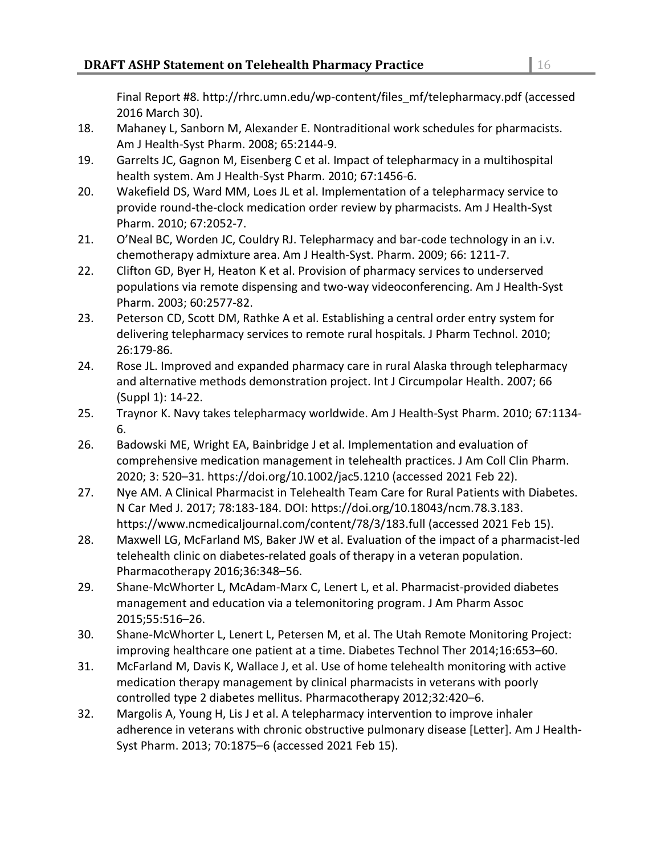Final Report #8. http://rhrc.umn.edu/wp-content/files\_mf/telepharmacy.pdf (accessed 2016 March 30).

- 18. Mahaney L, Sanborn M, Alexander E. Nontraditional work schedules for pharmacists. Am J Health-Syst Pharm. 2008; 65:2144-9.
- 19. Garrelts JC, Gagnon M, Eisenberg C et al. Impact of telepharmacy in a multihospital health system. Am J Health-Syst Pharm. 2010; 67:1456-6.
- 20. Wakefield DS, Ward MM, Loes JL et al. Implementation of a telepharmacy service to provide round-the-clock medication order review by pharmacists. Am J Health-Syst Pharm. 2010; 67:2052-7.
- 21. O'Neal BC, Worden JC, Couldry RJ. Telepharmacy and bar-code technology in an i.v. chemotherapy admixture area. Am J Health-Syst. Pharm. 2009; 66: 1211-7.
- 22. Clifton GD, Byer H, Heaton K et al. Provision of pharmacy services to underserved populations via remote dispensing and two-way videoconferencing. Am J Health-Syst Pharm. 2003; 60:2577-82.
- 23. Peterson CD, Scott DM, Rathke A et al. Establishing a central order entry system for delivering telepharmacy services to remote rural hospitals. J Pharm Technol. 2010; 26:179-86.
- 24. Rose JL. Improved and expanded pharmacy care in rural Alaska through telepharmacy and alternative methods demonstration project. Int J Circumpolar Health. 2007; 66 (Suppl 1): 14-22.
- 25. Traynor K. Navy takes telepharmacy worldwide. Am J Health-Syst Pharm. 2010; 67:1134- 6.
- 26. Badowski ME, Wright EA, Bainbridge J et al. Implementation and evaluation of comprehensive medication management in telehealth practices. J Am Coll Clin Pharm. 2020; 3: 520–31. https://doi.org/10.1002/jac5.1210 (accessed 2021 Feb 22).
- 27. Nye AM. A Clinical Pharmacist in Telehealth Team Care for Rural Patients with Diabetes. N Car Med J. 2017; 78:183-184. DOI: https://doi.org/10.18043/ncm.78.3.183. https://www.ncmedicaljournal.com/content/78/3/183.full (accessed 2021 Feb 15).
- 28. Maxwell LG, McFarland MS, Baker JW et al. Evaluation of the impact of a pharmacist-led telehealth clinic on diabetes-related goals of therapy in a veteran population. Pharmacotherapy 2016;36:348–56.
- 29. Shane-McWhorter L, McAdam-Marx C, Lenert L, et al. Pharmacist-provided diabetes management and education via a telemonitoring program. J Am Pharm Assoc 2015;55:516–26.
- 30. Shane-McWhorter L, Lenert L, Petersen M, et al. The Utah Remote Monitoring Project: improving healthcare one patient at a time. Diabetes Technol Ther 2014;16:653–60.
- 31. McFarland M, Davis K, Wallace J, et al. Use of home telehealth monitoring with active medication therapy management by clinical pharmacists in veterans with poorly controlled type 2 diabetes mellitus. Pharmacotherapy 2012;32:420–6.
- 32. Margolis A, Young H, Lis J et al. A telepharmacy intervention to improve inhaler adherence in veterans with chronic obstructive pulmonary disease [Letter]. Am J Health-Syst Pharm. 2013; 70:1875–6 (accessed 2021 Feb 15).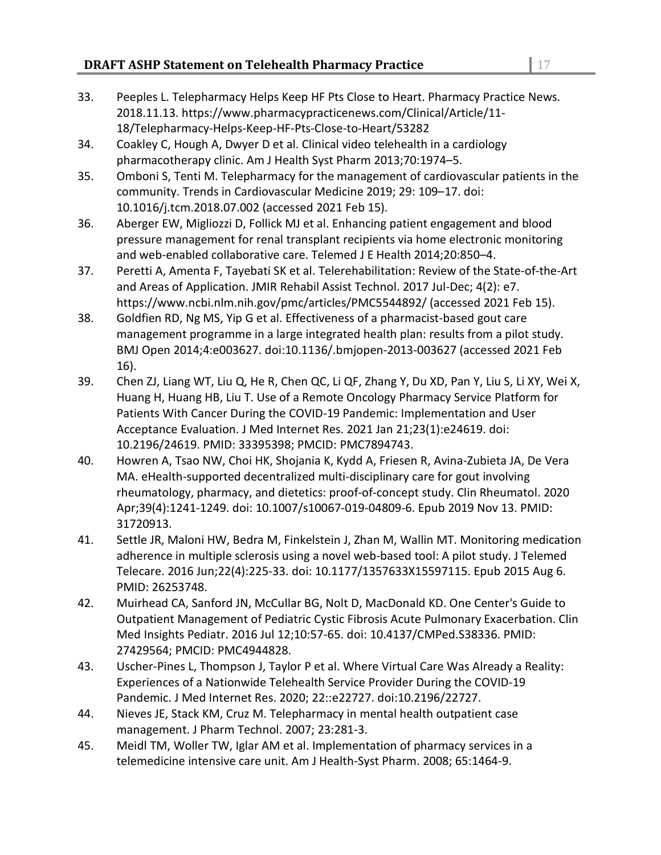- 33. Peeples L. Telepharmacy Helps Keep HF Pts Close to Heart. Pharmacy Practice News. 2018.11.13. https://www.pharmacypracticenews.com/Clinical/Article/11- 18/Telepharmacy-Helps-Keep-HF-Pts-Close-to-Heart/53282
- 34. Coakley C, Hough A, Dwyer D et al. Clinical video telehealth in a cardiology pharmacotherapy clinic. Am J Health Syst Pharm 2013;70:1974–5.
- 35. Omboni S, Tenti M. Telepharmacy for the management of cardiovascular patients in the community. Trends in Cardiovascular Medicine 2019; 29: 109–17. doi: 10.1016/j.tcm.2018.07.002 (accessed 2021 Feb 15).
- 36. Aberger EW, Migliozzi D, Follick MJ et al. Enhancing patient engagement and blood pressure management for renal transplant recipients via home electronic monitoring and web-enabled collaborative care. Telemed J E Health 2014;20:850–4.
- 37. Peretti A, Amenta F, Tayebati SK et al. Telerehabilitation: Review of the State-of-the-Art and Areas of Application. JMIR Rehabil Assist Technol. 2017 Jul-Dec; 4(2): e7. https://www.ncbi.nlm.nih.gov/pmc/articles/PMC5544892/ (accessed 2021 Feb 15).
- 38. Goldfien RD, Ng MS, Yip G et al. Effectiveness of a pharmacist-based gout care management programme in a large integrated health plan: results from a pilot study. BMJ Open 2014;4:e003627. doi:10.1136/.bmjopen-2013-003627 (accessed 2021 Feb 16).
- 39. Chen ZJ, Liang WT, Liu Q, He R, Chen QC, Li QF, Zhang Y, Du XD, Pan Y, Liu S, Li XY, Wei X, Huang H, Huang HB, Liu T. Use of a Remote Oncology Pharmacy Service Platform for Patients With Cancer During the COVID-19 Pandemic: Implementation and User Acceptance Evaluation. J Med Internet Res. 2021 Jan 21;23(1):e24619. doi: 10.2196/24619. PMID: 33395398; PMCID: PMC7894743.
- 40. Howren A, Tsao NW, Choi HK, Shojania K, Kydd A, Friesen R, Avina-Zubieta JA, De Vera MA. eHealth-supported decentralized multi-disciplinary care for gout involving rheumatology, pharmacy, and dietetics: proof-of-concept study. Clin Rheumatol. 2020 Apr;39(4):1241-1249. doi: 10.1007/s10067-019-04809-6. Epub 2019 Nov 13. PMID: 31720913.
- 41. Settle JR, Maloni HW, Bedra M, Finkelstein J, Zhan M, Wallin MT. Monitoring medication adherence in multiple sclerosis using a novel web-based tool: A pilot study. J Telemed Telecare. 2016 Jun;22(4):225-33. doi: 10.1177/1357633X15597115. Epub 2015 Aug 6. PMID: 26253748.
- 42. Muirhead CA, Sanford JN, McCullar BG, Nolt D, MacDonald KD. One Center's Guide to Outpatient Management of Pediatric Cystic Fibrosis Acute Pulmonary Exacerbation. Clin Med Insights Pediatr. 2016 Jul 12;10:57-65. doi: 10.4137/CMPed.S38336. PMID: 27429564; PMCID: PMC4944828.
- 43. Uscher-Pines L, Thompson J, Taylor P et al. Where Virtual Care Was Already a Reality: Experiences of a Nationwide Telehealth Service Provider During the COVID-19 Pandemic. J Med Internet Res. 2020; 22::e22727. doi:10.2196/22727.
- 44. Nieves JE, Stack KM, Cruz M. Telepharmacy in mental health outpatient case management. J Pharm Technol. 2007; 23:281-3.
- 45. Meidl TM, Woller TW, Iglar AM et al. Implementation of pharmacy services in a telemedicine intensive care unit. Am J Health-Syst Pharm. 2008; 65:1464-9.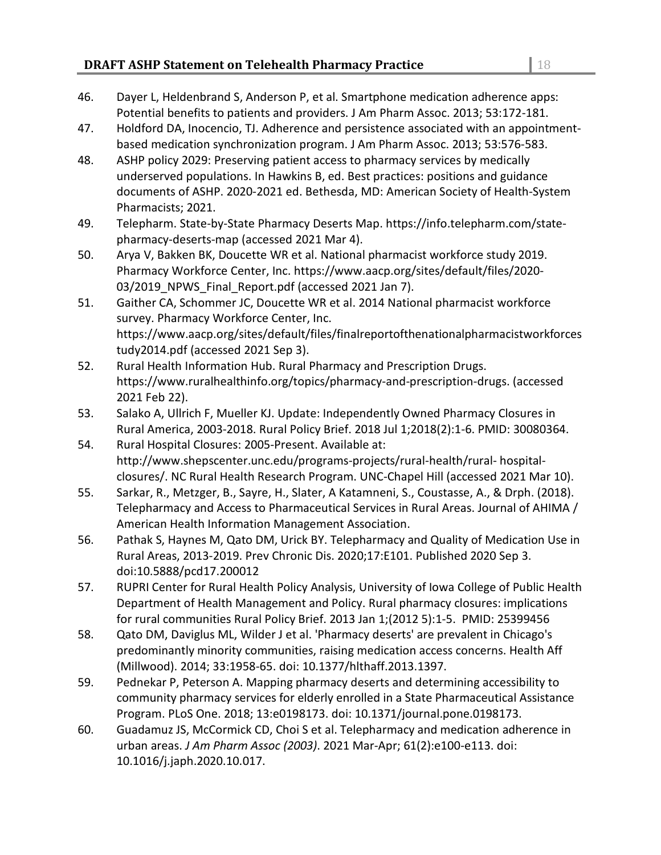## **DRAFT ASHP Statement on Telehealth Pharmacy Practice** 28 28

- 46. Dayer L, Heldenbrand S, Anderson P, et al. Smartphone medication adherence apps: Potential benefits to patients and providers. J Am Pharm Assoc. 2013; 53:172-181.
- 47. Holdford DA, Inocencio, TJ. Adherence and persistence associated with an appointmentbased medication synchronization program. J Am Pharm Assoc. 2013; 53:576-583.
- 48. ASHP policy 2029: Preserving patient access to pharmacy services by medically underserved populations. In Hawkins B, ed. Best practices: positions and guidance documents of ASHP. 2020-2021 ed. Bethesda, MD: American Society of Health-System Pharmacists; 2021.
- 49. Telepharm. State-by-State Pharmacy Deserts Map. https://info.telepharm.com/statepharmacy-deserts-map (accessed 2021 Mar 4).
- 50. Arya V, Bakken BK, Doucette WR et al. National pharmacist workforce study 2019. Pharmacy Workforce Center, Inc. https://www.aacp.org/sites/default/files/2020- 03/2019 NPWS Final Report.pdf (accessed 2021 Jan 7).
- 51. Gaither CA, Schommer JC, Doucette WR et al. 2014 National pharmacist workforce survey. Pharmacy Workforce Center, Inc. https://www.aacp.org/sites/default/files/finalreportofthenationalpharmacistworkforces tudy2014.pdf (accessed 2021 Sep 3).
- 52. Rural Health Information Hub. Rural Pharmacy and Prescription Drugs. https://www.ruralhealthinfo.org/topics/pharmacy-and-prescription-drugs. (accessed 2021 Feb 22).
- 53. Salako A, Ullrich F, Mueller KJ. Update: Independently Owned Pharmacy Closures in Rural America, 2003-2018. Rural Policy Brief. 2018 Jul 1;2018(2):1-6. PMID: 30080364.
- 54. Rural Hospital Closures: 2005-Present. Available at: http://www.shepscenter.unc.edu/programs-projects/rural-health/rural- hospitalclosures/. NC Rural Health Research Program. UNC-Chapel Hill (accessed 2021 Mar 10).
- 55. Sarkar, R., Metzger, B., Sayre, H., Slater, A Katamneni, S., Coustasse, A., & Drph. (2018). Telepharmacy and Access to Pharmaceutical Services in Rural Areas. Journal of AHIMA / American Health Information Management Association.
- 56. Pathak S, Haynes M, Qato DM, Urick BY. Telepharmacy and Quality of Medication Use in Rural Areas, 2013-2019. Prev Chronic Dis. 2020;17:E101. Published 2020 Sep 3. doi:10.5888/pcd17.200012
- 57. RUPRI Center for Rural Health Policy Analysis, University of Iowa College of Public Health Department of Health Management and Policy. Rural pharmacy closures: implications for rural communities Rural Policy Brief. 2013 Jan 1;(2012 5):1-5. PMID: 25399456
- 58. Qato DM, Daviglus ML, Wilder J et al. 'Pharmacy deserts' are prevalent in Chicago's predominantly minority communities, raising medication access concerns. Health Aff (Millwood). 2014; 33:1958-65. doi: 10.1377/hlthaff.2013.1397.
- 59. Pednekar P, Peterson A. Mapping pharmacy deserts and determining accessibility to community pharmacy services for elderly enrolled in a State Pharmaceutical Assistance Program. PLoS One. 2018; 13:e0198173. doi: 10.1371/journal.pone.0198173.
- 60. Guadamuz JS, McCormick CD, Choi S et al. Telepharmacy and medication adherence in urban areas. *J Am Pharm Assoc (2003)*. 2021 Mar-Apr; 61(2):e100-e113. doi: 10.1016/j.japh.2020.10.017.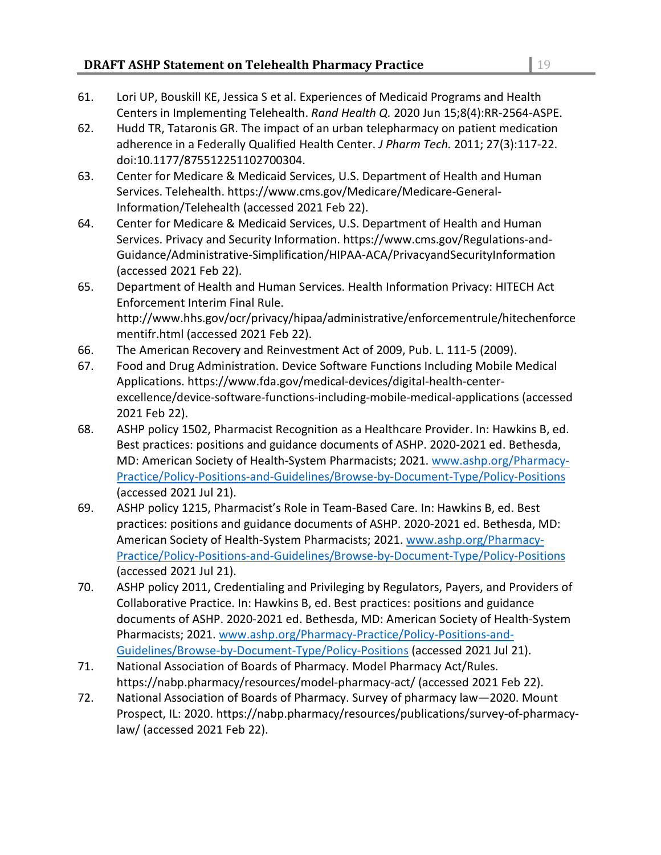- 61. Lori UP, Bouskill KE, Jessica S et al. Experiences of Medicaid Programs and Health Centers in Implementing Telehealth. *Rand Health Q.* 2020 Jun 15;8(4):RR-2564-ASPE.
- 62. Hudd TR, Tataronis GR. The impact of an urban telepharmacy on patient medication adherence in a Federally Qualified Health Center. *J Pharm Tech.* 2011; 27(3):117-22. doi:10.1177/875512251102700304.
- 63. Center for Medicare & Medicaid Services, U.S. Department of Health and Human Services. Telehealth. https://www.cms.gov/Medicare/Medicare-General-Information/Telehealth (accessed 2021 Feb 22).
- 64. Center for Medicare & Medicaid Services, U.S. Department of Health and Human Services. Privacy and Security Information. https://www.cms.gov/Regulations-and-Guidance/Administrative-Simplification/HIPAA-ACA/PrivacyandSecurityInformation (accessed 2021 Feb 22).
- 65. Department of Health and Human Services. Health Information Privacy: HITECH Act Enforcement Interim Final Rule. http://www.hhs.gov/ocr/privacy/hipaa/administrative/enforcementrule/hitechenforce mentifr.html (accessed 2021 Feb 22).
- 66. The American Recovery and Reinvestment Act of 2009, Pub. L. 111-5 (2009).
- 67. Food and Drug Administration. Device Software Functions Including Mobile Medical Applications. https://www.fda.gov/medical-devices/digital-health-centerexcellence/device-software-functions-including-mobile-medical-applications (accessed 2021 Feb 22).
- 68. ASHP policy 1502, Pharmacist Recognition as a Healthcare Provider. In: Hawkins B, ed. Best practices: positions and guidance documents of ASHP. 2020-2021 ed. Bethesda, MD: American Society of Health-System Pharmacists; 2021. [www.ashp.org/Pharmacy-](http://www.ashp.org/Pharmacy-Practice/Policy-Positions-and-Guidelines/Browse-by-Document-Type/Policy-Positions)[Practice/Policy-Positions-and-Guidelines/Browse-by-Document-Type/Policy-Positions](http://www.ashp.org/Pharmacy-Practice/Policy-Positions-and-Guidelines/Browse-by-Document-Type/Policy-Positions) (accessed 2021 Jul 21).
- 69. ASHP policy 1215, Pharmacist's Role in Team-Based Care. In: Hawkins B, ed. Best practices: positions and guidance documents of ASHP. 2020-2021 ed. Bethesda, MD: American Society of Health-System Pharmacists; 2021. [www.ashp.org/Pharmacy-](http://www.ashp.org/Pharmacy-Practice/Policy-Positions-and-Guidelines/Browse-by-Document-Type/Policy-Positions)[Practice/Policy-Positions-and-Guidelines/Browse-by-Document-Type/Policy-Positions](http://www.ashp.org/Pharmacy-Practice/Policy-Positions-and-Guidelines/Browse-by-Document-Type/Policy-Positions) (accessed 2021 Jul 21).
- 70. ASHP policy 2011, Credentialing and Privileging by Regulators, Payers, and Providers of Collaborative Practice. In: Hawkins B, ed. Best practices: positions and guidance documents of ASHP. 2020-2021 ed. Bethesda, MD: American Society of Health-System Pharmacists; 2021. [www.ashp.org/Pharmacy-Practice/Policy-Positions-and-](http://www.ashp.org/Pharmacy-Practice/Policy-Positions-and-Guidelines/Browse-by-Document-Type/Policy-Positions)[Guidelines/Browse-by-Document-Type/Policy-Positions](http://www.ashp.org/Pharmacy-Practice/Policy-Positions-and-Guidelines/Browse-by-Document-Type/Policy-Positions) (accessed 2021 Jul 21).
- 71. National Association of Boards of Pharmacy. Model Pharmacy Act/Rules. https://nabp.pharmacy/resources/model-pharmacy-act/ (accessed 2021 Feb 22).
- 72. National Association of Boards of Pharmacy. Survey of pharmacy law—2020. Mount Prospect, IL: 2020. https://nabp.pharmacy/resources/publications/survey-of-pharmacylaw/ (accessed 2021 Feb 22).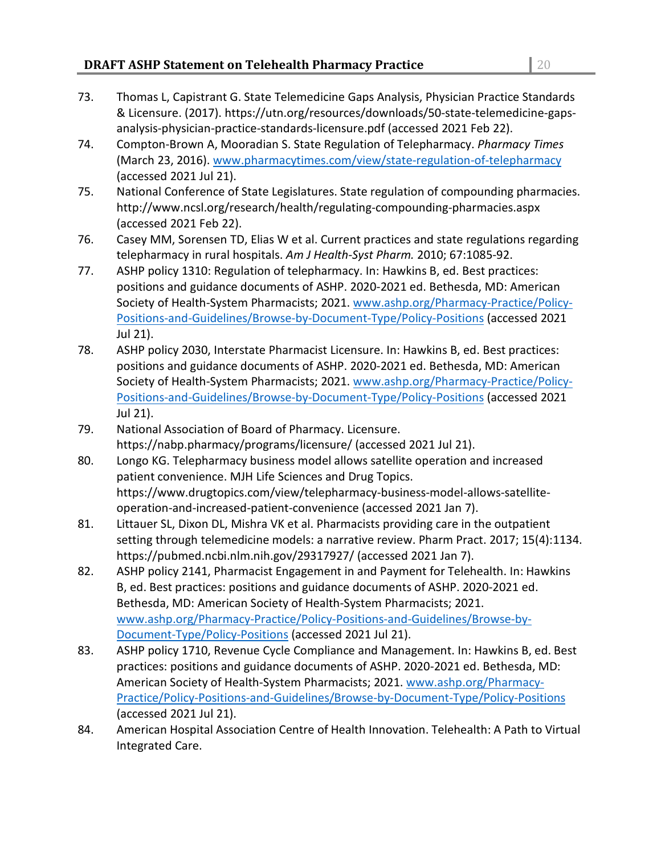- 73. Thomas L, Capistrant G. State Telemedicine Gaps Analysis, Physician Practice Standards & Licensure. (2017). https://utn.org/resources/downloads/50-state-telemedicine-gapsanalysis-physician-practice-standards-licensure.pdf (accessed 2021 Feb 22).
- 74. Compton-Brown A, Mooradian S. State Regulation of Telepharmacy. *Pharmacy Times* (March 23, 2016). [www.pharmacytimes.com/view/state-regulation-of-telepharmacy](http://www.pharmacytimes.com/view/state-regulation-of-telepharmacy) (accessed 2021 Jul 21).
- 75. National Conference of State Legislatures. State regulation of compounding pharmacies. http://www.ncsl.org/research/health/regulating-compounding-pharmacies.aspx (accessed 2021 Feb 22).
- 76. Casey MM, Sorensen TD, Elias W et al. Current practices and state regulations regarding telepharmacy in rural hospitals. *Am J Health-Syst Pharm.* 2010; 67:1085-92.
- 77. ASHP policy 1310: Regulation of telepharmacy. In: Hawkins B, ed. Best practices: positions and guidance documents of ASHP. 2020-2021 ed. Bethesda, MD: American Society of Health-System Pharmacists; 2021. [www.ashp.org/Pharmacy-Practice/Policy-](http://www.ashp.org/Pharmacy-Practice/Policy-Positions-and-Guidelines/Browse-by-Document-Type/Policy-Positions)[Positions-and-Guidelines/Browse-by-Document-Type/Policy-Positions](http://www.ashp.org/Pharmacy-Practice/Policy-Positions-and-Guidelines/Browse-by-Document-Type/Policy-Positions) (accessed 2021 Jul 21).
- 78. ASHP policy 2030, Interstate Pharmacist Licensure. In: Hawkins B, ed. Best practices: positions and guidance documents of ASHP. 2020-2021 ed. Bethesda, MD: American Society of Health-System Pharmacists; 2021. [www.ashp.org/Pharmacy-Practice/Policy-](http://www.ashp.org/Pharmacy-Practice/Policy-Positions-and-Guidelines/Browse-by-Document-Type/Policy-Positions)[Positions-and-Guidelines/Browse-by-Document-Type/Policy-Positions](http://www.ashp.org/Pharmacy-Practice/Policy-Positions-and-Guidelines/Browse-by-Document-Type/Policy-Positions) (accessed 2021 Jul 21).
- 79. National Association of Board of Pharmacy. Licensure. https://nabp.pharmacy/programs/licensure/ (accessed 2021 Jul 21).
- 80. Longo KG. Telepharmacy business model allows satellite operation and increased patient convenience. MJH Life Sciences and Drug Topics. https://www.drugtopics.com/view/telepharmacy-business-model-allows-satelliteoperation-and-increased-patient-convenience (accessed 2021 Jan 7).
- 81. Littauer SL, Dixon DL, Mishra VK et al. Pharmacists providing care in the outpatient setting through telemedicine models: a narrative review. Pharm Pract. 2017; 15(4):1134. https://pubmed.ncbi.nlm.nih.gov/29317927/ (accessed 2021 Jan 7).
- 82. ASHP policy 2141, Pharmacist Engagement in and Payment for Telehealth. In: Hawkins B, ed. Best practices: positions and guidance documents of ASHP. 2020-2021 ed. Bethesda, MD: American Society of Health-System Pharmacists; 2021. [www.ashp.org/Pharmacy-Practice/Policy-Positions-and-Guidelines/Browse-by-](http://www.ashp.org/Pharmacy-Practice/Policy-Positions-and-Guidelines/Browse-by-Document-Type/Policy-Positions)[Document-Type/Policy-Positions](http://www.ashp.org/Pharmacy-Practice/Policy-Positions-and-Guidelines/Browse-by-Document-Type/Policy-Positions) (accessed 2021 Jul 21).
- 83. ASHP policy 1710, Revenue Cycle Compliance and Management. In: Hawkins B, ed. Best practices: positions and guidance documents of ASHP. 2020-2021 ed. Bethesda, MD: American Society of Health-System Pharmacists; 2021. [www.ashp.org/Pharmacy-](http://www.ashp.org/Pharmacy-Practice/Policy-Positions-and-Guidelines/Browse-by-Document-Type/Policy-Positions)[Practice/Policy-Positions-and-Guidelines/Browse-by-Document-Type/Policy-Positions](http://www.ashp.org/Pharmacy-Practice/Policy-Positions-and-Guidelines/Browse-by-Document-Type/Policy-Positions) (accessed 2021 Jul 21).
- 84. American Hospital Association Centre of Health Innovation. Telehealth: A Path to Virtual Integrated Care.